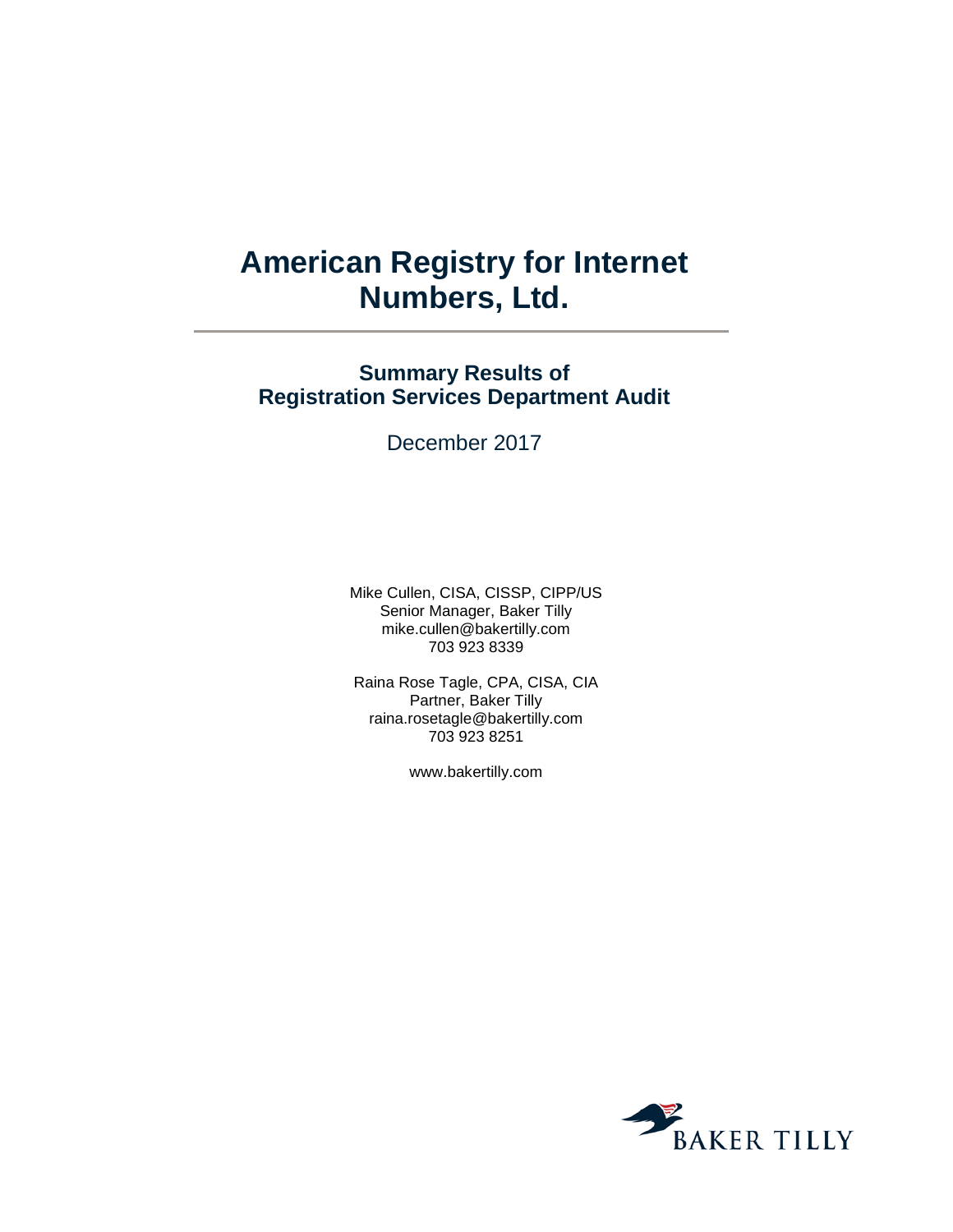# **American Registry for Internet Numbers, Ltd.**

## **Summary Results of Registration Services Department Audit**

December 2017

Mike Cullen, CISA, CISSP, CIPP/US Senior Manager, Baker Tilly mike.cullen@bakertilly.com 703 923 8339

Raina Rose Tagle, CPA, CISA, CIA Partner, Baker Tilly raina.rosetagle@bakertilly.com 703 923 8251

www.bakertilly.com

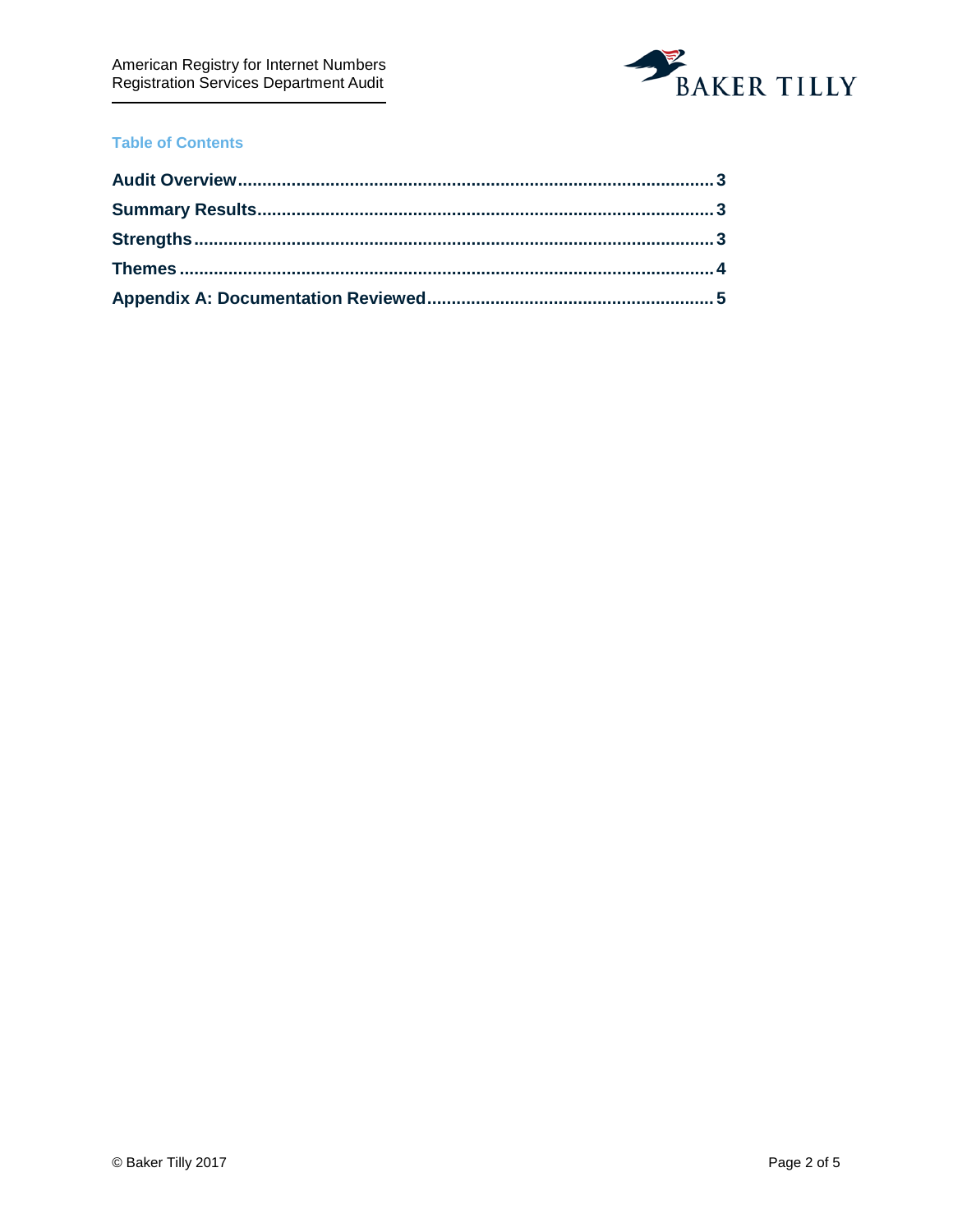

### **Table of Contents**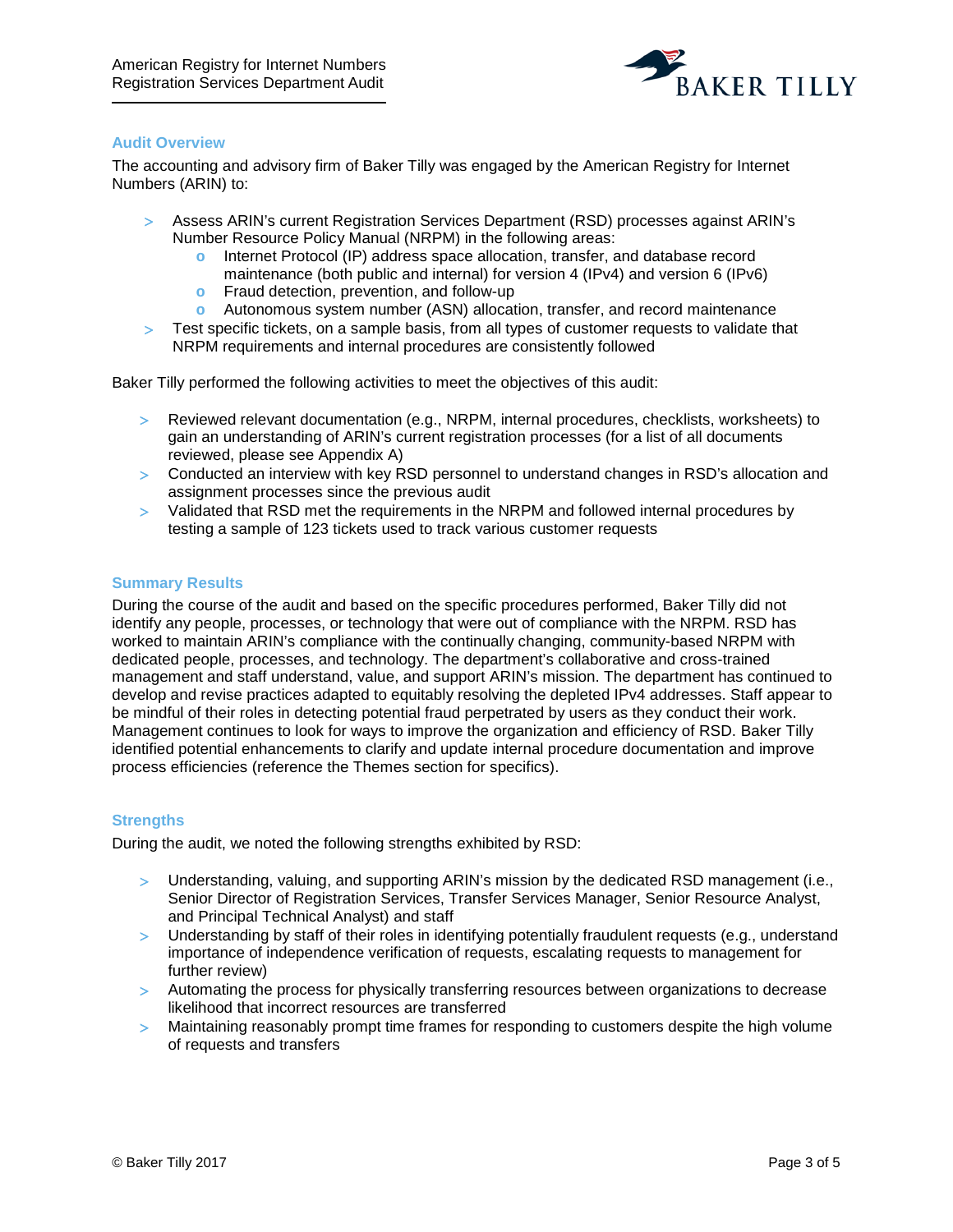

#### <span id="page-2-0"></span>**Audit Overview**

The accounting and advisory firm of Baker Tilly was engaged by the American Registry for Internet Numbers (ARIN) to:

- > Assess ARIN's current Registration Services Department (RSD) processes against ARIN's Number Resource Policy Manual (NRPM) in the following areas:
	- **o** Internet Protocol (IP) address space allocation, transfer, and database record maintenance (both public and internal) for version 4 (IPv4) and version 6 (IPv6)
	- **o** Fraud detection, prevention, and follow-up
	- **o** Autonomous system number (ASN) allocation, transfer, and record maintenance
- > Test specific tickets, on a sample basis, from all types of customer requests to validate that NRPM requirements and internal procedures are consistently followed

Baker Tilly performed the following activities to meet the objectives of this audit:

- > Reviewed relevant documentation (e.g., NRPM, internal procedures, checklists, worksheets) to gain an understanding of ARIN's current registration processes (for a list of all documents reviewed, please see Appendix A)
- > Conducted an interview with key RSD personnel to understand changes in RSD's allocation and assignment processes since the previous audit
- > Validated that RSD met the requirements in the NRPM and followed internal procedures by testing a sample of 123 tickets used to track various customer requests

#### <span id="page-2-1"></span>**Summary Results**

During the course of the audit and based on the specific procedures performed, Baker Tilly did not identify any people, processes, or technology that were out of compliance with the NRPM. RSD has worked to maintain ARIN's compliance with the continually changing, community-based NRPM with dedicated people, processes, and technology. The department's collaborative and cross-trained management and staff understand, value, and support ARIN's mission. The department has continued to develop and revise practices adapted to equitably resolving the depleted IPv4 addresses. Staff appear to be mindful of their roles in detecting potential fraud perpetrated by users as they conduct their work. Management continues to look for ways to improve the organization and efficiency of RSD. Baker Tilly identified potential enhancements to clarify and update internal procedure documentation and improve process efficiencies (reference the Themes section for specifics).

#### <span id="page-2-2"></span>**Strengths**

During the audit, we noted the following strengths exhibited by RSD:

- > Understanding, valuing, and supporting ARIN's mission by the dedicated RSD management (i.e., Senior Director of Registration Services, Transfer Services Manager, Senior Resource Analyst, and Principal Technical Analyst) and staff
- > Understanding by staff of their roles in identifying potentially fraudulent requests (e.g., understand importance of independence verification of requests, escalating requests to management for further review)
- > Automating the process for physically transferring resources between organizations to decrease likelihood that incorrect resources are transferred
- > Maintaining reasonably prompt time frames for responding to customers despite the high volume of requests and transfers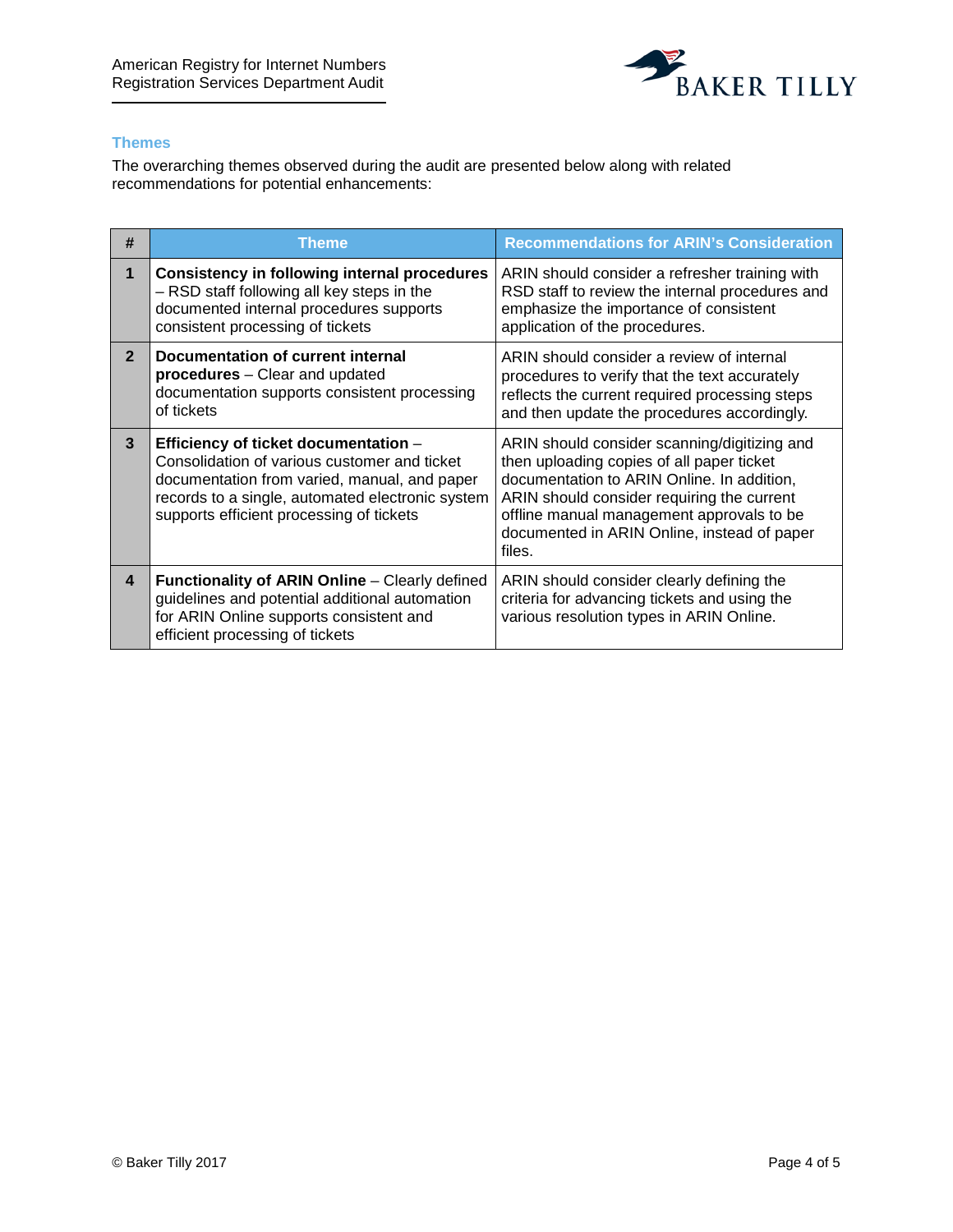

#### <span id="page-3-0"></span>**Themes**

The overarching themes observed during the audit are presented below along with related recommendations for potential enhancements:

| #              | Theme                                                                                                                                                                                                                                | <b>Recommendations for ARIN's Consideration</b>                                                                                                                                                                                                                                             |
|----------------|--------------------------------------------------------------------------------------------------------------------------------------------------------------------------------------------------------------------------------------|---------------------------------------------------------------------------------------------------------------------------------------------------------------------------------------------------------------------------------------------------------------------------------------------|
| 1              | <b>Consistency in following internal procedures</b><br>- RSD staff following all key steps in the<br>documented internal procedures supports<br>consistent processing of tickets                                                     | ARIN should consider a refresher training with<br>RSD staff to review the internal procedures and<br>emphasize the importance of consistent<br>application of the procedures.                                                                                                               |
| $\overline{2}$ | Documentation of current internal<br>procedures - Clear and updated<br>documentation supports consistent processing<br>of tickets                                                                                                    | ARIN should consider a review of internal<br>procedures to verify that the text accurately<br>reflects the current required processing steps<br>and then update the procedures accordingly.                                                                                                 |
| 3              | Efficiency of ticket documentation -<br>Consolidation of various customer and ticket<br>documentation from varied, manual, and paper<br>records to a single, automated electronic system<br>supports efficient processing of tickets | ARIN should consider scanning/digitizing and<br>then uploading copies of all paper ticket<br>documentation to ARIN Online. In addition,<br>ARIN should consider requiring the current<br>offline manual management approvals to be<br>documented in ARIN Online, instead of paper<br>files. |
| 4              | Functionality of ARIN Online - Clearly defined<br>guidelines and potential additional automation<br>for ARIN Online supports consistent and<br>efficient processing of tickets                                                       | ARIN should consider clearly defining the<br>criteria for advancing tickets and using the<br>various resolution types in ARIN Online.                                                                                                                                                       |